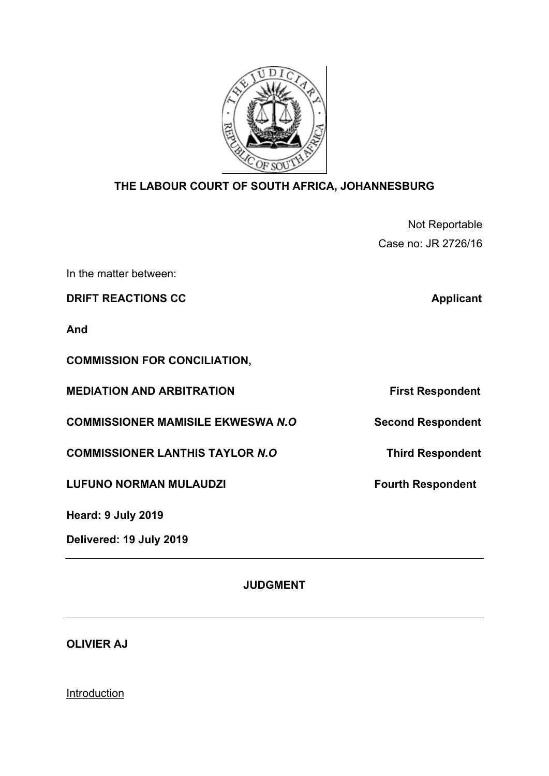

## **THE LABOUR COURT OF SOUTH AFRICA, JOHANNESBURG**

Not Reportable Case no: JR 2726/16

In the matter between:

**DRIFT REACTIONS CC Applicant** 

**And** 

**COMMISSION FOR CONCILIATION,** 

**MEDIATION AND ARBITRATION** First Respondent

**COMMISSIONER MAMISILE EKWESWA** *N.O* **Second Respondent** 

**COMMISSIONER LANTHIS TAYLOR** *N.O* **Third Respondent**

LUFUNO NORMAN MULAUDZI<br>
Fourth Respondent

**Heard: 9 July 2019**

**Delivered: 19 July 2019** 

**JUDGMENT**

**OLIVIER AJ**

Introduction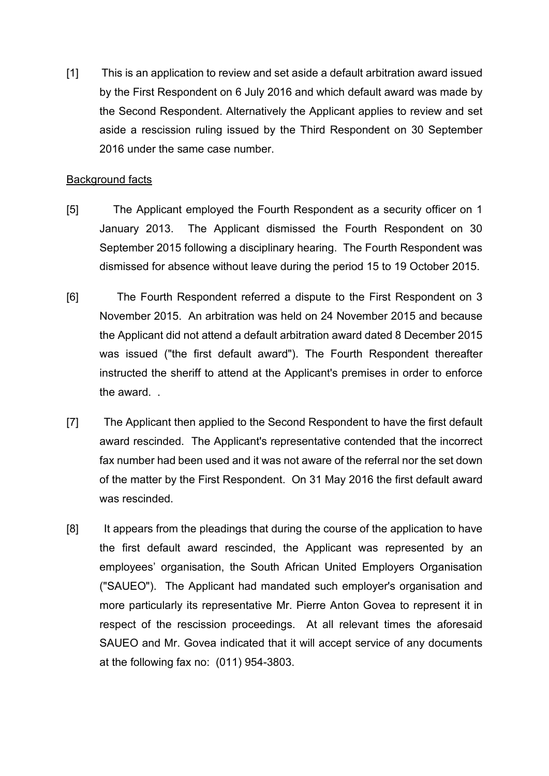[1] This is an application to review and set aside a default arbitration award issued by the First Respondent on 6 July 2016 and which default award was made by the Second Respondent. Alternatively the Applicant applies to review and set aside a rescission ruling issued by the Third Respondent on 30 September 2016 under the same case number.

## Background facts

- [5] The Applicant employed the Fourth Respondent as a security officer on 1 January 2013. The Applicant dismissed the Fourth Respondent on 30 September 2015 following a disciplinary hearing. The Fourth Respondent was dismissed for absence without leave during the period 15 to 19 October 2015.
- [6] The Fourth Respondent referred a dispute to the First Respondent on 3 November 2015. An arbitration was held on 24 November 2015 and because the Applicant did not attend a default arbitration award dated 8 December 2015 was issued ("the first default award"). The Fourth Respondent thereafter instructed the sheriff to attend at the Applicant's premises in order to enforce the award. .
- [7] The Applicant then applied to the Second Respondent to have the first default award rescinded. The Applicant's representative contended that the incorrect fax number had been used and it was not aware of the referral nor the set down of the matter by the First Respondent. On 31 May 2016 the first default award was rescinded.
- [8] It appears from the pleadings that during the course of the application to have the first default award rescinded, the Applicant was represented by an employees' organisation, the South African United Employers Organisation ("SAUEO"). The Applicant had mandated such employer's organisation and more particularly its representative Mr. Pierre Anton Govea to represent it in respect of the rescission proceedings. At all relevant times the aforesaid SAUEO and Mr. Govea indicated that it will accept service of any documents at the following fax no: (011) 954-3803.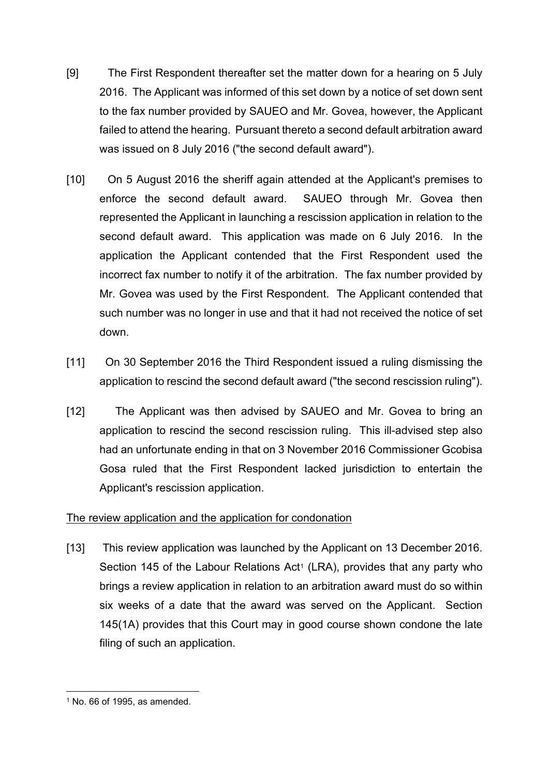- [9] The First Respondent thereafter set the matter down for a hearing on 5 July 2016. The Applicant was informed of this set down by a notice of set down sent to the fax number provided by SAUEO and Mr. Govea, however, the Applicant failed to attend the hearing. Pursuant thereto a second default arbitration award was issued on 8 July 2016 ("the second default award").
- [10] On 5 August 2016 the sheriff again attended at the Applicant's premises to enforce the second default award. SAUEO through Mr. Govea then represented the Applicant in launching a rescission application in relation to the second default award. This application was made on 6 July 2016. In the application the Applicant contended that the First Respondent used the incorrect fax number to notify it of the arbitration. The fax number provided by Mr. Govea was used by the First Respondent. The Applicant contended that such number was no longer in use and that it had not received the notice of set down.
- [11] On 30 September 2016 the Third Respondent issued a ruling dismissing the application to rescind the second default award ("the second rescission ruling").
- [12] The Applicant was then advised by SAUEO and Mr. Govea to bring an application to rescind the second rescission ruling. This ill-advised step also had an unfortunate ending in that on 3 November 2016 Commissioner Gcobisa Gosa ruled that the First Respondent lacked jurisdiction to entertain the Applicant's rescission application.

## The review application and the application for condonation

[13] This review application was launched by the Applicant on 13 December 2016. Section [1](#page-2-0)45 of the Labour Relations Act<sup>1</sup> (LRA), provides that any party who brings a review application in relation to an arbitration award must do so within six weeks of a date that the award was served on the Applicant. Section 145(1A) provides that this Court may in good course shown condone the late filing of such an application.

<span id="page-2-0"></span> $<sup>1</sup>$  No. 66 of 1995, as amended.</sup>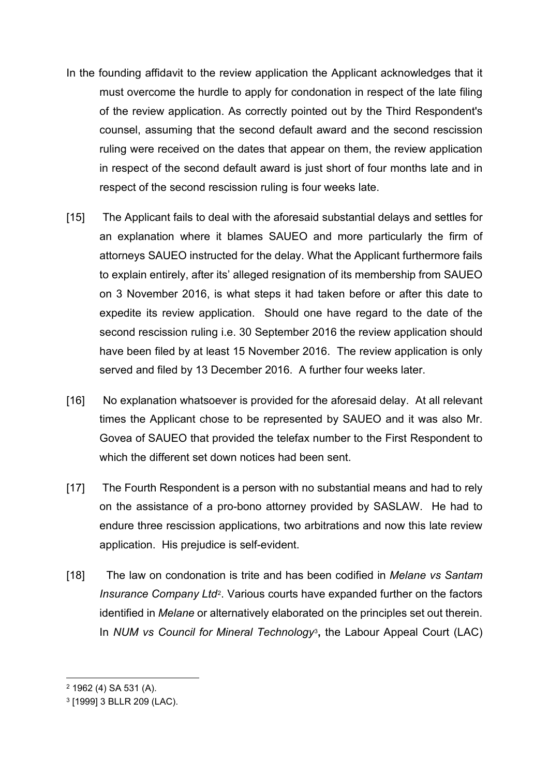- In the founding affidavit to the review application the Applicant acknowledges that it must overcome the hurdle to apply for condonation in respect of the late filing of the review application. As correctly pointed out by the Third Respondent's counsel, assuming that the second default award and the second rescission ruling were received on the dates that appear on them, the review application in respect of the second default award is just short of four months late and in respect of the second rescission ruling is four weeks late.
- [15] The Applicant fails to deal with the aforesaid substantial delays and settles for an explanation where it blames SAUEO and more particularly the firm of attorneys SAUEO instructed for the delay. What the Applicant furthermore fails to explain entirely, after its' alleged resignation of its membership from SAUEO on 3 November 2016, is what steps it had taken before or after this date to expedite its review application. Should one have regard to the date of the second rescission ruling i.e. 30 September 2016 the review application should have been filed by at least 15 November 2016. The review application is only served and filed by 13 December 2016. A further four weeks later.
- [16] No explanation whatsoever is provided for the aforesaid delay. At all relevant times the Applicant chose to be represented by SAUEO and it was also Mr. Govea of SAUEO that provided the telefax number to the First Respondent to which the different set down notices had been sent.
- [17] The Fourth Respondent is a person with no substantial means and had to rely on the assistance of a pro-bono attorney provided by SASLAW. He had to endure three rescission applications, two arbitrations and now this late review application. His prejudice is self-evident.
- [18] The law on condonation is trite and has been codified in *Melane vs Santam Insurance Company Ltd*[2.](#page-3-0) Various courts have expanded further on the factors identified in *Melane* or alternatively elaborated on the principles set out therein. In *NUM vs Council for Mineral Technology*[3](#page-3-1)**,** the Labour Appeal Court (LAC)

<span id="page-3-0"></span><sup>2</sup> 1962 (4) SA 531 (A).

<span id="page-3-1"></span><sup>3</sup> [1999] 3 BLLR 209 (LAC).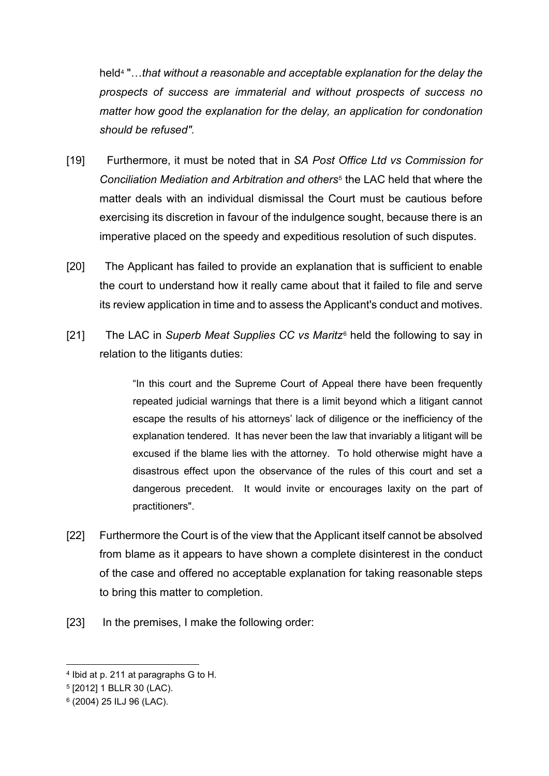held[4](#page-4-0) "…*that without a reasonable and acceptable explanation for the delay the prospects of success are immaterial and without prospects of success no matter how good the explanation for the delay, an application for condonation should be refused".*

- [19] Furthermore, it must be noted that in *SA Post Office Ltd vs Commission for Conciliation Mediation and Arbitration and others*[5](#page-4-1) the LAC held that where the matter deals with an individual dismissal the Court must be cautious before exercising its discretion in favour of the indulgence sought, because there is an imperative placed on the speedy and expeditious resolution of such disputes.
- [20] The Applicant has failed to provide an explanation that is sufficient to enable the court to understand how it really came about that it failed to file and serve its review application in time and to assess the Applicant's conduct and motives.
- [21] The LAC in *Superb Meat Supplies CC vs Maritz*[6](#page-4-2) held the following to say in relation to the litigants duties:

"In this court and the Supreme Court of Appeal there have been frequently repeated judicial warnings that there is a limit beyond which a litigant cannot escape the results of his attorneys' lack of diligence or the inefficiency of the explanation tendered. It has never been the law that invariably a litigant will be excused if the blame lies with the attorney. To hold otherwise might have a disastrous effect upon the observance of the rules of this court and set a dangerous precedent. It would invite or encourages laxity on the part of practitioners".

- [22] Furthermore the Court is of the view that the Applicant itself cannot be absolved from blame as it appears to have shown a complete disinterest in the conduct of the case and offered no acceptable explanation for taking reasonable steps to bring this matter to completion.
- [23] In the premises, I make the following order:

<span id="page-4-0"></span><sup>4</sup> Ibid at p. 211 at paragraphs G to H.

<span id="page-4-1"></span><sup>5</sup> [2012] 1 BLLR 30 (LAC).

<span id="page-4-2"></span><sup>6</sup> (2004) 25 ILJ 96 (LAC).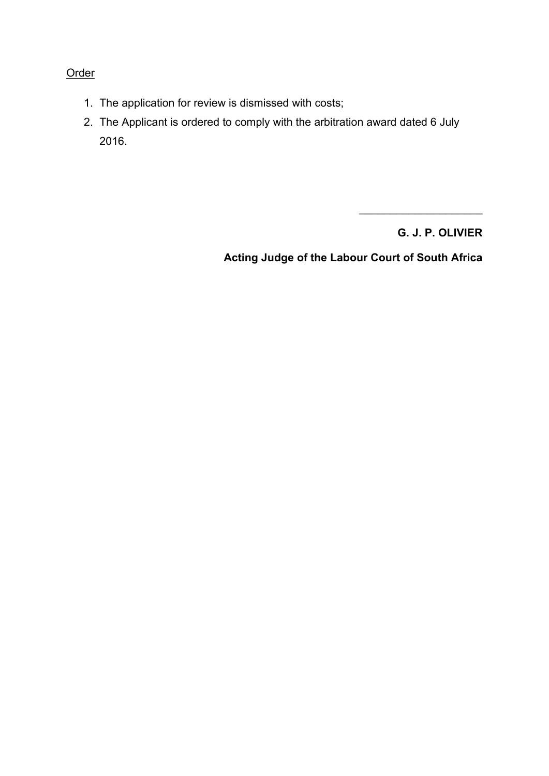## **Order**

- 1. The application for review is dismissed with costs;
- 2. The Applicant is ordered to comply with the arbitration award dated 6 July 2016.

**G. J. P. OLIVIER**

\_\_\_\_\_\_\_\_\_\_\_\_\_\_\_\_\_\_\_\_

**Acting Judge of the Labour Court of South Africa**